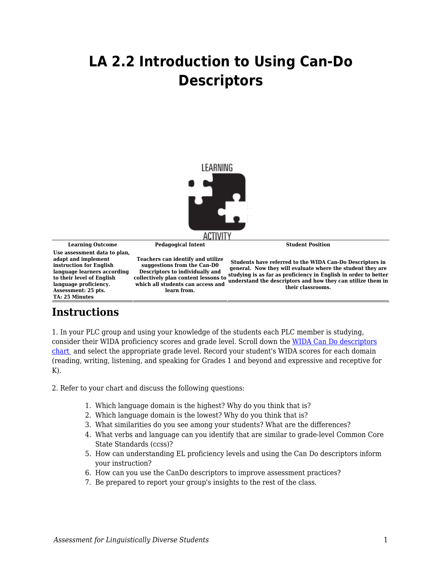## **LA 2.2 Introduction to Using Can-Do Descriptors**



**Learning Outcome Pedagogical Intent Student Position Use assessment data to plan, adapt and implement instruction for English language learners according to their level of English language proficiency. Assessment: 25 pts. TA: 25 Minutes Teachers can identify and utilize suggestions from the Can-D0 Descriptors to individually and collectively plan content lessons to studying is as far as proficiency in English in order to better**<br>collectively plan content lessons to supplementary the description and have they can utilize them in **which all students can access and learn from. Students have referred to the WIDA Can-Do Descriptors in general. Now they will evaluate where the student they are understand the descriptors and how they can utilize them in their classrooms.**

## **Instructions**

1. In your PLC group and using your knowledge of the students each PLC member is studying, consider their WIDA proficiency scores and grade level. Scroll down the [WIDA Can Do descriptors](https://wida.wisc.edu/teach/can-do/descriptors) [chart](https://wida.wisc.edu/teach/can-do/descriptors) and select the appropriate grade level. Record your student's WIDA scores for each domain (reading, writing, listening, and speaking for Grades 1 and beyond and expressive and receptive for  $K$ ).

2. Refer to your chart and discuss the following questions:

- 1. Which language domain is the highest? Why do you think that is?
- 2. Which language domain is the lowest? Why do you think that is?
- 3. What similarities do you see among your students? What are the differences?
- 4. What verbs and language can you identify that are similar to grade-level Common Core State Standards (ccss)?
- 5. How can understanding EL proficiency levels and using the Can Do descriptors inform your instruction?
- 6. How can you use the CanDo descriptors to improve assessment practices?
- 7. Be prepared to report your group's insights to the rest of the class.